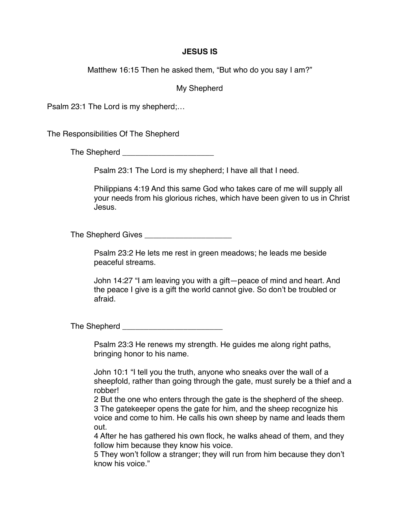## **JESUS IS**

Matthew 16:15 Then he asked them, "But who do you say I am?"

My Shepherd

Psalm 23:1 The Lord is my shepherd;…

The Responsibilities Of The Shepherd

The Shepherd **Example 20** 

Psalm 23:1 The Lord is my shepherd; I have all that I need.

Philippians 4:19 And this same God who takes care of me will supply all your needs from his glorious riches, which have been given to us in Christ Jesus.

The Shepherd Gives **Example 20** 

Psalm 23:2 He lets me rest in green meadows; he leads me beside peaceful streams.

John 14:27 "I am leaving you with a gift—peace of mind and heart. And the peace I give is a gift the world cannot give. So don't be troubled or afraid.

The Shepherd \_\_\_\_\_\_\_\_\_\_\_\_\_\_\_\_\_\_\_\_\_\_\_

Psalm 23:3 He renews my strength. He guides me along right paths, bringing honor to his name.

John 10:1 "I tell you the truth, anyone who sneaks over the wall of a sheepfold, rather than going through the gate, must surely be a thief and a robber!

2 But the one who enters through the gate is the shepherd of the sheep. 3 The gatekeeper opens the gate for him, and the sheep recognize his voice and come to him. He calls his own sheep by name and leads them out.

4 After he has gathered his own flock, he walks ahead of them, and they follow him because they know his voice.

5 They won't follow a stranger; they will run from him because they don't know his voice."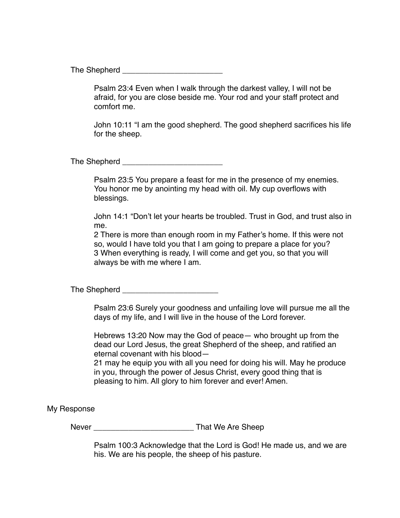The Shepherd **Example 20** 

Psalm 23:4 Even when I walk through the darkest valley, I will not be afraid, for you are close beside me. Your rod and your staff protect and comfort me.

John 10:11 "I am the good shepherd. The good shepherd sacrifices his life for the sheep.

The Shepherd \_\_\_\_\_\_\_\_\_\_\_\_\_\_\_\_\_\_\_\_\_\_\_

Psalm 23:5 You prepare a feast for me in the presence of my enemies. You honor me by anointing my head with oil. My cup overflows with blessings.

John 14:1 "Don't let your hearts be troubled. Trust in God, and trust also in me.

2 There is more than enough room in my Father's home. If this were not so, would I have told you that I am going to prepare a place for you? 3 When everything is ready, I will come and get you, so that you will always be with me where I am.

The Shepherd **Example 20** 

Psalm 23:6 Surely your goodness and unfailing love will pursue me all the days of my life, and I will live in the house of the Lord forever.

Hebrews 13:20 Now may the God of peace— who brought up from the dead our Lord Jesus, the great Shepherd of the sheep, and ratified an eternal covenant with his blood—

21 may he equip you with all you need for doing his will. May he produce in you, through the power of Jesus Christ, every good thing that is pleasing to him. All glory to him forever and ever! Amen.

My Response

Never **Never New Are Sheep** 

Psalm 100:3 Acknowledge that the Lord is God! He made us, and we are his. We are his people, the sheep of his pasture.